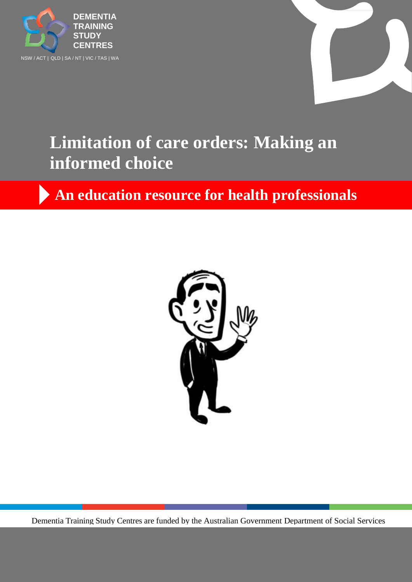



# **Limitation of care orders: Making an informed choice**

**An education resource for health professionals**



Dementia Training Study Centres are funded by the Australian Government Department of Social Services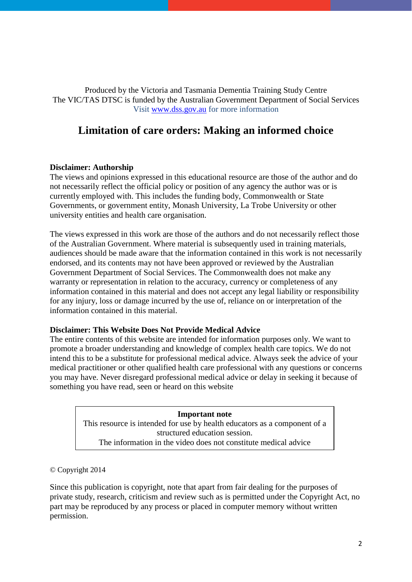Produced by the Victoria and Tasmania Dementia Training Study Centre The VIC/TAS DTSC is funded by the Australian Government Department of Social Services Visit [www.dss.gov.au](http://www.dss.gov.au/) for more information

# **Limitation of care orders: Making an informed choice**

#### **Disclaimer: Authorship**

The views and opinions expressed in this educational resource are those of the author and do not necessarily reflect the official policy or position of any agency the author was or is currently employed with. This includes the funding body, Commonwealth or State Governments, or government entity, Monash University, La Trobe University or other university entities and health care organisation.

The views expressed in this work are those of the authors and do not necessarily reflect those of the Australian Government. Where material is subsequently used in training materials, audiences should be made aware that the information contained in this work is not necessarily endorsed, and its contents may not have been approved or reviewed by the Australian Government Department of Social Services. The Commonwealth does not make any warranty or representation in relation to the accuracy, currency or completeness of any information contained in this material and does not accept any legal liability or responsibility for any injury, loss or damage incurred by the use of, reliance on or interpretation of the information contained in this material.

#### **Disclaimer: This Website Does Not Provide Medical Advice**

The entire contents of this website are intended for information purposes only. We want to promote a broader understanding and knowledge of complex health care topics. We do not intend this to be a substitute for professional medical advice. Always seek the advice of your medical practitioner or other qualified health care professional with any questions or concerns you may have. Never disregard professional medical advice or delay in seeking it because of something you have read, seen or heard on this website

> **Important note** This resource is intended for use by health educators as a component of a structured education session. The information in the video does not constitute medical advice

© Copyright 2014

Since this publication is copyright, note that apart from fair dealing for the purposes of private study, research, criticism and review such as is permitted under the Copyright Act, no part may be reproduced by any process or placed in computer memory without written permission.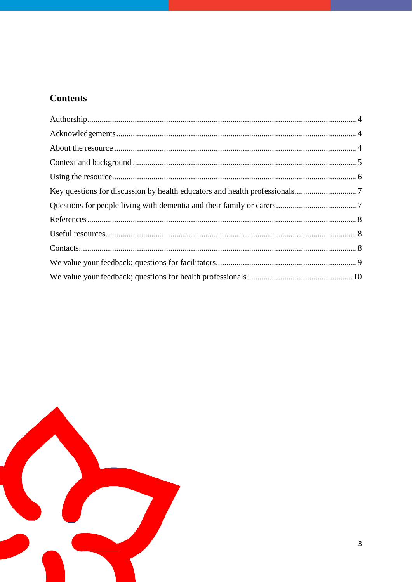# **Contents**

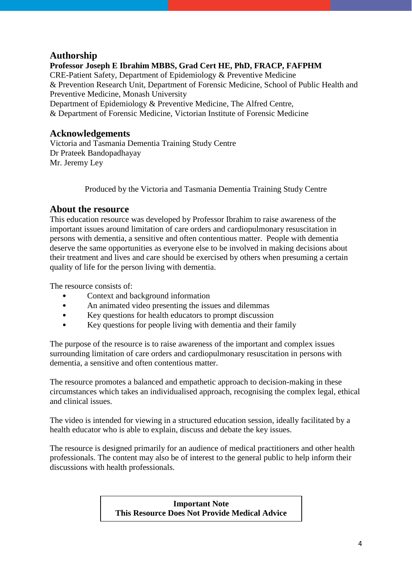### <span id="page-3-0"></span>**Authorship**

**Professor Joseph E Ibrahim MBBS, Grad Cert HE, PhD, FRACP, FAFPHM** CRE-Patient Safety, Department of Epidemiology & Preventive Medicine & Prevention Research Unit, Department of Forensic Medicine, School of Public Health and Preventive Medicine, Monash University Department of Epidemiology & Preventive Medicine, The Alfred Centre, & Department of Forensic Medicine, Victorian Institute of Forensic Medicine

#### <span id="page-3-1"></span>**Acknowledgements**

Victoria and Tasmania Dementia Training Study Centre Dr Prateek Bandopadhayay Mr. Jeremy Ley

Produced by the Victoria and Tasmania Dementia Training Study Centre

#### <span id="page-3-2"></span>**About the resource**

This education resource was developed by Professor Ibrahim to raise awareness of the important issues around limitation of care orders and cardiopulmonary resuscitation in persons with dementia, a sensitive and often contentious matter. People with dementia deserve the same opportunities as everyone else to be involved in making decisions about their treatment and lives and care should be exercised by others when presuming a certain quality of life for the person living with dementia.

The resource consists of:

- Context and background information
- An animated video presenting the issues and dilemmas
- Key questions for health educators to prompt discussion
- Key questions for people living with dementia and their family

The purpose of the resource is to raise awareness of the important and complex issues surrounding limitation of care orders and cardiopulmonary resuscitation in persons with dementia, a sensitive and often contentious matter.

The resource promotes a balanced and empathetic approach to decision-making in these circumstances which takes an individualised approach, recognising the complex legal, ethical and clinical issues.

The video is intended for viewing in a structured education session, ideally facilitated by a health educator who is able to explain, discuss and debate the key issues.

The resource is designed primarily for an audience of medical practitioners and other health professionals. The content may also be of interest to the general public to help inform their discussions with health professionals.

> <span id="page-3-3"></span>**Important Note This Resource Does Not Provide Medical Advice**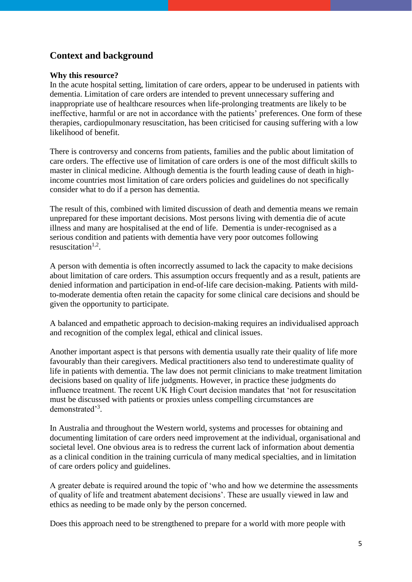## **Context and background**

#### **Why this resource?**

In the acute hospital setting, limitation of care orders, appear to be underused in patients with dementia. Limitation of care orders are intended to prevent unnecessary suffering and inappropriate use of healthcare resources when life-prolonging treatments are likely to be ineffective, harmful or are not in accordance with the patients' preferences. One form of these therapies, cardiopulmonary resuscitation, has been criticised for causing suffering with a low likelihood of benefit.

There is controversy and concerns from patients, families and the public about limitation of care orders. The effective use of limitation of care orders is one of the most difficult skills to master in clinical medicine. Although dementia is the fourth leading cause of death in highincome countries most limitation of care orders policies and guidelines do not specifically consider what to do if a person has dementia.

The result of this, combined with limited discussion of death and dementia means we remain unprepared for these important decisions. Most persons living with dementia die of acute illness and many are hospitalised at the end of life. Dementia is under-recognised as a serious condition and patients with dementia have very poor outcomes following resuscitation $1,2$ .

A person with dementia is often incorrectly assumed to lack the capacity to make decisions about limitation of care orders. This assumption occurs frequently and as a result, patients are denied information and participation in end-of-life care decision-making. Patients with mildto-moderate dementia often retain the capacity for some clinical care decisions and should be given the opportunity to participate.

A balanced and empathetic approach to decision-making requires an individualised approach and recognition of the complex legal, ethical and clinical issues.

Another important aspect is that persons with dementia usually rate their quality of life more favourably than their caregivers. Medical practitioners also tend to underestimate quality of life in patients with dementia. The law does not permit clinicians to make treatment limitation decisions based on quality of life judgments. However, in practice these judgments do influence treatment. The recent UK High Court decision mandates that 'not for resuscitation must be discussed with patients or proxies unless compelling circumstances are demonstrated'<sup>3</sup>.

In Australia and throughout the Western world, systems and processes for obtaining and documenting limitation of care orders need improvement at the individual, organisational and societal level. One obvious area is to redress the current lack of information about dementia as a clinical condition in the training curricula of many medical specialties, and in limitation of care orders policy and guidelines.

A greater debate is required around the topic of 'who and how we determine the assessments of quality of life and treatment abatement decisions'. These are usually viewed in law and ethics as needing to be made only by the person concerned.

Does this approach need to be strengthened to prepare for a world with more people with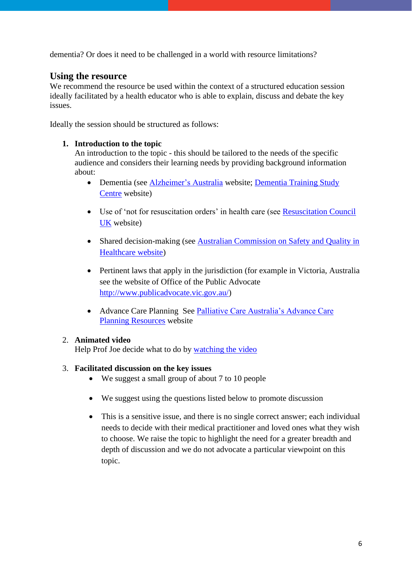<span id="page-5-0"></span>dementia? Or does it need to be challenged in a world with resource limitations?

#### **Using the resource**

We recommend the resource be used within the context of a structured education session ideally facilitated by a health educator who is able to explain, discuss and debate the key issues.

Ideally the session should be structured as follows:

#### **1. Introduction to the topic**

An introduction to the topic - this should be tailored to the needs of the specific audience and considers their learning needs by providing background information about:

- Dementia (see [Alzheimer's Australia](http://www.fightdementia.org.au/what-is-dementia.aspx) website; Dementia Training Study [Centre](http://www.dtsc.com.au/) website)
- Use of 'not for resuscitation orders' in health care (see [Resuscitation Council](http://www.resus.org.uk/index.html)  [UK](http://www.resus.org.uk/index.html) website)
- Shared decision-making (see Australian Commission on Safety and Quality in [Healthcare website\)](http://www.safetyandquality.gov.au/our-work/shared-decision-making)
- Pertinent laws that apply in the jurisdiction (for example in Victoria, Australia see the website of Office of the Public Advocate [http://www.publicadvocate.vic.gov.au/\)](http://www.publicadvocate.vic.gov.au/)
- Advance Care Planning See [Palliative Care Australia's Advance Care](http://www.palliativecare.org.au/AdvanceCarePlanning.aspx)  [Planning Resources](http://www.palliativecare.org.au/AdvanceCarePlanning.aspx) website

#### 2. **Animated video**

Help Prof Joe decide what to do by [watching the video](https://vimeo.com/user26567902/review/108417852/66aba2fedf)

#### 3. **Facilitated discussion on the key issues**

- We suggest a small group of about 7 to 10 people
- We suggest using the questions listed below to promote discussion
- This is a sensitive issue, and there is no single correct answer; each individual needs to decide with their medical practitioner and loved ones what they wish to choose. We raise the topic to highlight the need for a greater breadth and depth of discussion and we do not advocate a particular viewpoint on this topic.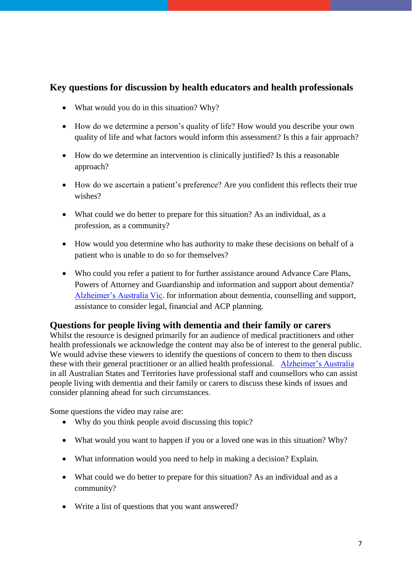## <span id="page-6-0"></span>**Key questions for discussion by health educators and health professionals**

- What would you do in this situation? Why?
- How do we determine a person's quality of life? How would you describe your own quality of life and what factors would inform this assessment? Is this a fair approach?
- How do we determine an intervention is clinically justified? Is this a reasonable approach?
- How do we ascertain a patient's preference? Are you confident this reflects their true wishes?
- What could we do better to prepare for this situation? As an individual, as a profession, as a community?
- How would you determine who has authority to make these decisions on behalf of a patient who is unable to do so for themselves?
- Who could you refer a patient to for further assistance around Advance Care Plans, Powers of Attorney and Guardianship and information and support about dementia? [Alzheimer's Australia Vic.](http://www.fightdementia.org.au/victoria.aspx) for information about dementia, counselling and support, assistance to consider legal, financial and ACP planning.

#### <span id="page-6-1"></span>**Questions for people living with dementia and their family or carers**

Whilst the resource is designed primarily for an audience of medical practitioners and other health professionals we acknowledge the content may also be of interest to the general public. We would advise these viewers to identify the questions of concern to them to then discuss these with their general practitioner or an allied health professional. [Alzheimer's Australia](http://www.fightdementia.org.au/) in all Australian States and Territories have professional staff and counsellors who can assist people living with dementia and their family or carers to discuss these kinds of issues and consider planning ahead for such circumstances.

Some questions the video may raise are:

- Why do you think people avoid discussing this topic?
- What would you want to happen if you or a loved one was in this situation? Why?
- What information would you need to help in making a decision? Explain.
- What could we do better to prepare for this situation? As an individual and as a community?
- Write a list of questions that you want answered?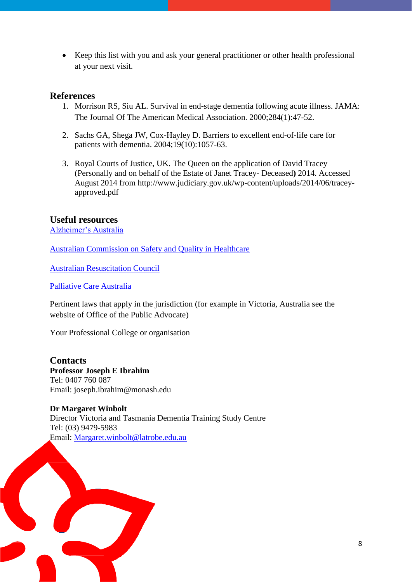• Keep this list with you and ask your general practitioner or other health professional at your next visit.

#### <span id="page-7-0"></span>**References**

- 1. Morrison RS, Siu AL. Survival in end-stage dementia following acute illness. JAMA: The Journal Of The American Medical Association. 2000;284(1):47-52.
- 2. Sachs GA, Shega JW, Cox-Hayley D. Barriers to excellent end-of-life care for patients with dementia. 2004;19(10):1057-63.
- 3. Royal Courts of Justice, UK. The Queen on the application of David Tracey (Personally and on behalf of the Estate of Janet Tracey- Deceased**)** 2014. Accessed August 2014 from http://www.judiciary.gov.uk/wp-content/uploads/2014/06/traceyapproved.pdf

#### <span id="page-7-1"></span>**Useful resources**

[Alzheimer's Australia](http://www.fightdementia.org.au/)

[Australian Commission on Safety and Quality in Healthcare](http://www.safetyandquality.gov.au/our-work/shared-decision-making/)

[Australian Resuscitation Council](http://www.resus.org.au/)

[Palliative Care Australia](http://www.palliativecare.org.au/)

Pertinent laws that apply in the jurisdiction (for example in Victoria, Australia see the website of Office of the Public Advocate)

Your Professional College or organisation

<span id="page-7-2"></span>**Contacts Professor Joseph E Ibrahim** Tel: 0407 760 087 Email: joseph.ibrahim@monash.edu

**Dr Margaret Winbolt** Director Victoria and Tasmania Dementia Training Study Centre Tel: (03) 9479-5983 Email: [Margaret.winbolt@latrobe.edu.au](mailto:Margaret.winbolt@latrobe.edu.au)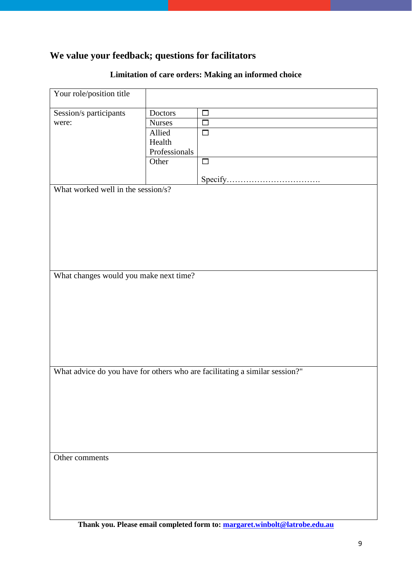# <span id="page-8-0"></span>**We value your feedback; questions for facilitators**

# **Limitation of care orders: Making an informed choice**

| Your role/position title                                                    |               |        |  |  |
|-----------------------------------------------------------------------------|---------------|--------|--|--|
| Session/s participants                                                      | Doctors       | $\Box$ |  |  |
| were:                                                                       | <b>Nurses</b> | $\Box$ |  |  |
|                                                                             | Allied        | $\Box$ |  |  |
|                                                                             | Health        |        |  |  |
|                                                                             | Professionals |        |  |  |
|                                                                             | Other         | $\Box$ |  |  |
|                                                                             |               |        |  |  |
| What worked well in the session/s?                                          |               |        |  |  |
|                                                                             |               |        |  |  |
|                                                                             |               |        |  |  |
|                                                                             |               |        |  |  |
|                                                                             |               |        |  |  |
|                                                                             |               |        |  |  |
|                                                                             |               |        |  |  |
|                                                                             |               |        |  |  |
|                                                                             |               |        |  |  |
| What changes would you make next time?                                      |               |        |  |  |
|                                                                             |               |        |  |  |
|                                                                             |               |        |  |  |
|                                                                             |               |        |  |  |
|                                                                             |               |        |  |  |
|                                                                             |               |        |  |  |
|                                                                             |               |        |  |  |
|                                                                             |               |        |  |  |
|                                                                             |               |        |  |  |
|                                                                             |               |        |  |  |
| What advice do you have for others who are facilitating a similar session?" |               |        |  |  |
|                                                                             |               |        |  |  |
|                                                                             |               |        |  |  |
|                                                                             |               |        |  |  |
|                                                                             |               |        |  |  |
|                                                                             |               |        |  |  |
|                                                                             |               |        |  |  |
|                                                                             |               |        |  |  |
| Other comments                                                              |               |        |  |  |
|                                                                             |               |        |  |  |
|                                                                             |               |        |  |  |
|                                                                             |               |        |  |  |
|                                                                             |               |        |  |  |
|                                                                             |               |        |  |  |
|                                                                             |               |        |  |  |
|                                                                             |               |        |  |  |

**Thank you. Please email completed form to: [margaret.winbolt@latrobe.edu.au](mailto:margaret.winbolt@latrobe.edu.au)**